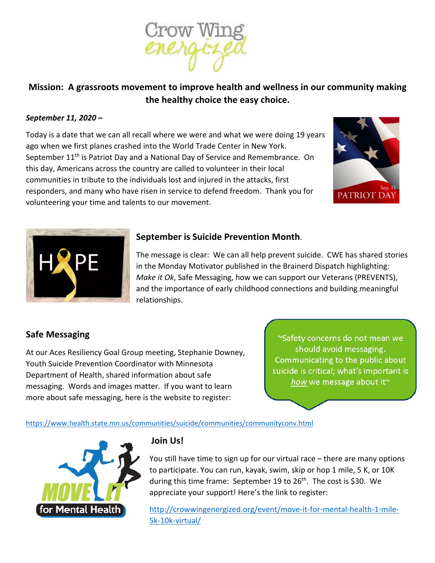

# **Mission: A grassroots movement to improve health and wellness in our community making the healthy choice the easy choice.**

#### *September 11, 2020 –*

Today is a date that we can all recall where we were and what we were doing 19 years ago when we first planes crashed into the World Trade Center in New York. September 11<sup>th</sup> is Patriot Day and a National Day of Service and Remembrance. On this day, Americans across the country are called to volunteer in their local communities in tribute to the individuals lost and injured in the attacks, first responders, and many who have risen in service to defend freedom. Thank you for volunteering your time and talents to our movement.





## **September is Suicide Prevention Month**.

The message is clear: We can all help prevent suicide. CWE has shared stories in the Monday Motivator published in the Brainerd Dispatch highlighting: *Make it Ok*, Safe Messaging, how we can support our Veterans (PREVENTS), and the importance of early childhood connections and building meaningful relationships.

### **Safe Messaging**

At our Aces Resiliency Goal Group meeting, Stephanie Downey, Youth Suicide Prevention Coordinator with Minnesota Department of Health, shared information about safe messaging. Words and images matter. If you want to learn more about safe messaging, here is the website to register:

~Safety concerns do not mean we should avoid messaging. Communicating to the public about suicide is critical; what's important is how we message about it~

https://www.health.state.mn.us/communities/suicide/communities/communityconv.html



### **Join Us!**

You still have time to sign up for our virtual race – there are many options to participate. You can run, kayak, swim, skip or hop 1 mile, 5 K, or 10K during this time frame: September 19 to  $26<sup>th</sup>$ . The cost is \$30. We appreciate your support! Here's the link to register:

http://crowwingenergized.org/event/move-it-for-mental-health-1-mile-5k-10k-virtual/